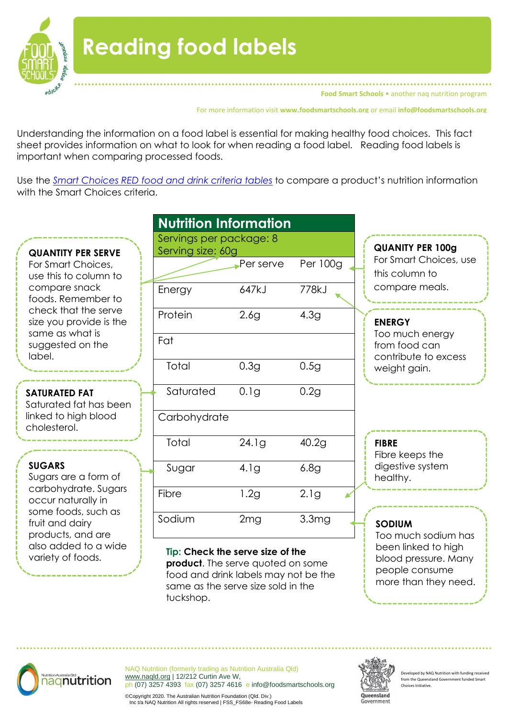

**Food Smart Schools** • another nag nutrition program

For more information visit **www.foodsmartschools.org** or email **info@foodsmartschools.org**

Understanding the information on a food label is essential for making healthy food choices. This fact sheet provides information on what to look for when reading a food label. Reading food labels is important when comparing processed foods.

Use the *[Smart Choices RED food and drink criteria tables](https://education.qld.gov.au/student/Documents/smart-choices-ready-reckoner.pdf)* to compare a product's nutrition information with the Smart Choices criteria.

#### **QUANTITY PER SERVE**

For Smart Choices, use this to column to compare snack foods. Remember to check that the serve size you provide is the same as what is suggested on the label.

#### **SATURATED FAT**

Saturated fat has been linked to high blood cholesterol.

#### **SUGARS**

Sugars are a form of carbohydrate. Sugars occur naturally in some foods, such as fruit and dairy products, and are also added to a wide variety of foods.

| <b>Nutrition Information</b>                 |                  |                   |
|----------------------------------------------|------------------|-------------------|
| Servings per package: 8<br>Serving size: 60g |                  |                   |
|                                              | Per serve        | Per 100g          |
| Energy                                       | 647kJ            | 778kJ             |
| Protein                                      | 2.6 <sub>g</sub> | 4.3g              |
| Fat                                          |                  |                   |
| Total                                        | 0.3g             | 0.5g              |
| Saturated                                    | 0.1g             | 0.2g              |
| Carbohydrate                                 |                  |                   |
| Total                                        | 24.1g            | 40.2g             |
| Sugar                                        | 4.1g             | 6.8g              |
| Fibre                                        | 1.2g             | 2.1g              |
| Sodium                                       | 2mg              | 3.3 <sub>mg</sub> |

#### **Tip: Check the serve size of the**

**product**. The serve quoted on some food and drink labels may not be the same as the serve size sold in the tuckshop.

# **QUANITY PER 100g** For Smart Choices, use this column to compare meals.

#### **ENERGY**

Too much energy from food can contribute to excess weight gain.

#### **FIBRE**

Fibre keeps the digestive system healthy.

#### **SODIUM**

Too much sodium has been linked to high blood pressure. Many people consume more than they need.



NAQ Nutrition (formerly trading as Nutrition Australia Qld) [www.naqld.org](http://www.naqld.org/) | 12/212 Curtin Ave W, ph (07) 3257 4393 fax (07) 3257 4616 e info@foodsmartschools.org



 $P$ eveloped by NAQ Nutrition with funding rece from the Queensland Government Choices Initiative.

©Copyright 2020. The Australian Nutrition Foundation (Qld. Div.) Inc t/a NAQ Nutrition All rights reserved | FSS\_FS68e- Reading Food Labels